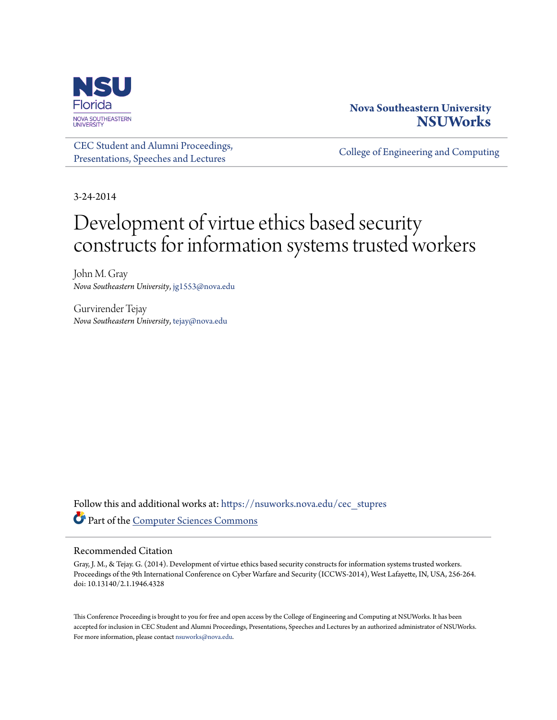

# **Nova Southeastern University [NSUWorks](https://nsuworks.nova.edu?utm_source=nsuworks.nova.edu%2Fcec_stupres%2F1&utm_medium=PDF&utm_campaign=PDFCoverPages)**

[CEC Student and Alumni Proceedings,](https://nsuworks.nova.edu/cec_stupres?utm_source=nsuworks.nova.edu%2Fcec_stupres%2F1&utm_medium=PDF&utm_campaign=PDFCoverPages) [Presentations, Speeches and Lectures](https://nsuworks.nova.edu/cec_stupres?utm_source=nsuworks.nova.edu%2Fcec_stupres%2F1&utm_medium=PDF&utm_campaign=PDFCoverPages)

[College of Engineering and Computing](https://nsuworks.nova.edu/cec?utm_source=nsuworks.nova.edu%2Fcec_stupres%2F1&utm_medium=PDF&utm_campaign=PDFCoverPages)

3-24-2014

# Development of virtue ethics based security constructs for information systems trusted workers

John M. Gray *Nova Southeastern University*, jg1553@nova.edu

Gurvirender Tejay *Nova Southeastern University*, tejay@nova.edu

Follow this and additional works at: [https://nsuworks.nova.edu/cec\\_stupres](https://nsuworks.nova.edu/cec_stupres?utm_source=nsuworks.nova.edu%2Fcec_stupres%2F1&utm_medium=PDF&utm_campaign=PDFCoverPages) Part of the [Computer Sciences Commons](http://network.bepress.com/hgg/discipline/142?utm_source=nsuworks.nova.edu%2Fcec_stupres%2F1&utm_medium=PDF&utm_campaign=PDFCoverPages)

## Recommended Citation

Gray, J. M., & Tejay. G. (2014). Development of virtue ethics based security constructs for information systems trusted workers. Proceedings of the 9th International Conference on Cyber Warfare and Security (ICCWS-2014), West Lafayette, IN, USA, 256-264. doi: 10.13140/2.1.1946.4328

This Conference Proceeding is brought to you for free and open access by the College of Engineering and Computing at NSUWorks. It has been accepted for inclusion in CEC Student and Alumni Proceedings, Presentations, Speeches and Lectures by an authorized administrator of NSUWorks. For more information, please contact [nsuworks@nova.edu.](mailto:nsuworks@nova.edu)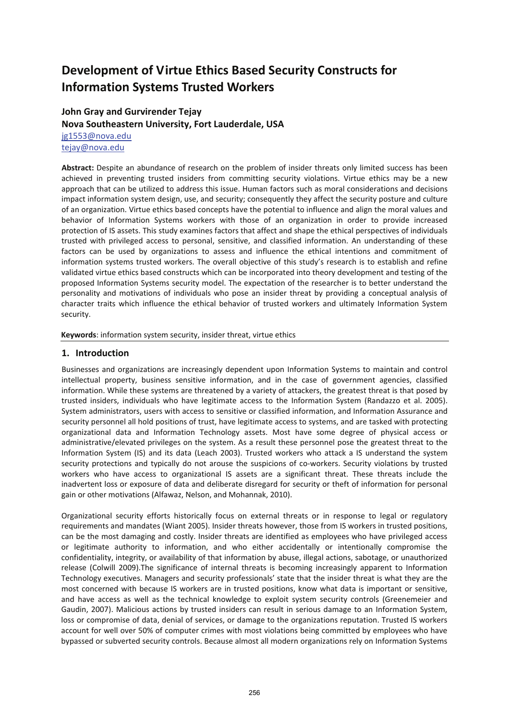# **Development of Virtue Ethics Based Security Constructs for Information Systems Trusted Workers**

# **John Gray and Gurvirender Tejay Nova Southeastern University, Fort Lauderdale, USA**

jg1553@nova.edu tejay@nova.edu

**Abstract:** Despite an abundance of research on the problem of insider threats only limited success has been achieved in preventing trusted insiders from committing security violations. Virtue ethics may be a new approach that can be utilized to address this issue. Human factors such as moral considerations and decisions impact information system design, use, and security; consequently they affect the security posture and culture of an organization. Virtue ethics based concepts have the potential to influence and align the moral values and behavior of Information Systems workers with those of an organization in order to provide increased protection of IS assets. This study examines factors that affect and shape the ethical perspectives of individuals trusted with privileged access to personal, sensitive, and classified information. An understanding of these factors can be used by organizations to assess and influence the ethical intentions and commitment of information systems trusted workers. The overall objective of this study's research is to establish and refine validated virtue ethics based constructs which can be incorporated into theory development and testing of the proposed Information Systems security model. The expectation of the researcher is to better understand the personality and motivations of individuals who pose an insider threat by providing a conceptual analysis of character traits which influence the ethical behavior of trusted workers and ultimately Information System security.

**Keywords**: information system security, insider threat, virtue ethics

# **1. Introduction**

Businesses and organizations are increasingly dependent upon Information Systems to maintain and control intellectual property, business sensitive information, and in the case of government agencies, classified information. While these systems are threatened by a variety of attackers, the greatest threat is that posed by trusted insiders, individuals who have legitimate access to the Information System (Randazzo et al. 2005). System administrators, users with access to sensitive or classified information, and Information Assurance and security personnel all hold positions of trust, have legitimate access to systems, and are tasked with protecting organizational data and Information Technology assets. Most have some degree of physical access or administrative/elevated privileges on the system. As a result these personnel pose the greatest threat to the Information System (IS) and its data (Leach 2003). Trusted workers who attack a IS understand the system security protections and typically do not arouse the suspicions of co-workers. Security violations by trusted workers who have access to organizational IS assets are a significant threat. These threats include the inadvertent loss or exposure of data and deliberate disregard for security or theft of information for personal gain or other motivations (Alfawaz, Nelson, and Mohannak, 2010).

Organizational security efforts historically focus on external threats or in response to legal or regulatory requirements and mandates (Wiant 2005). Insider threats however, those from IS workers in trusted positions, can be the most damaging and costly. Insider threats are identified as employees who have privileged access or legitimate authority to information, and who either accidentally or intentionally compromise the confidentiality, integrity, or availability of that information by abuse, illegal actions, sabotage, or unauthorized release (Colwill 2009).The significance of internal threats is becoming increasingly apparent to Information Technology executives. Managers and security professionals' state that the insider threat is what they are the most concerned with because IS workers are in trusted positions, know what data is important or sensitive, and have access as well as the technical knowledge to exploit system security controls (Greenemeier and Gaudin, 2007). Malicious actions by trusted insiders can result in serious damage to an Information System, loss or compromise of data, denial of services, or damage to the organizations reputation. Trusted IS workers account for well over 50% of computer crimes with most violations being committed by employees who have bypassed or subverted security controls. Because almost all modern organizations rely on Information Systems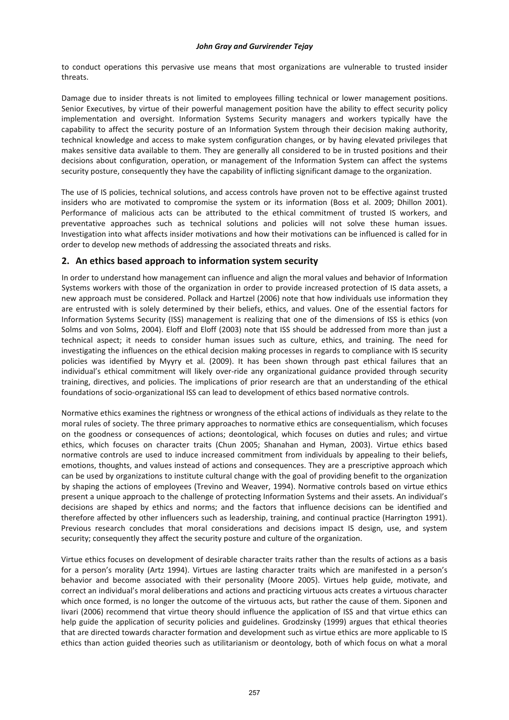to conduct operations this pervasive use means that most organizations are vulnerable to trusted insider threats.

Damage due to insider threats is not limited to employees filling technical or lower management positions. Senior Executives, by virtue of their powerful management position have the ability to effect security policy implementation and oversight. Information Systems Security managers and workers typically have the capability to affect the security posture of an Information System through their decision making authority, technical knowledge and access to make system configuration changes, or by having elevated privileges that makes sensitive data available to them. They are generally all considered to be in trusted positions and their decisions about configuration, operation, or management of the Information System can affect the systems security posture, consequently they have the capability of inflicting significant damage to the organization.

The use of IS policies, technical solutions, and access controls have proven not to be effective against trusted insiders who are motivated to compromise the system or its information (Boss et al. 2009; Dhillon 2001). Performance of malicious acts can be attributed to the ethical commitment of trusted IS workers, and preventative approaches such as technical solutions and policies will not solve these human issues. Investigation into what affects insider motivations and how their motivations can be influenced is called for in order to develop new methods of addressing the associated threats and risks.

# **2. An ethics based approach to information system security**

In order to understand how management can influence and align the moral values and behavior of Information Systems workers with those of the organization in order to provide increased protection of IS data assets, a new approach must be considered. Pollack and Hartzel (2006) note that how individuals use information they are entrusted with is solely determined by their beliefs, ethics, and values. One of the essential factors for Information Systems Security (ISS) management is realizing that one of the dimensions of ISS is ethics (von Solms and von Solms, 2004). Eloff and Eloff (2003) note that ISS should be addressed from more than just a technical aspect; it needs to consider human issues such as culture, ethics, and training. The need for investigating the influences on the ethical decision making processes in regards to compliance with IS security policies was identified by Myyry et al. (2009). It has been shown through past ethical failures that an individual's ethical commitment will likely over‐ride any organizational guidance provided through security training, directives, and policies. The implications of prior research are that an understanding of the ethical foundations of socio‐organizational ISS can lead to development of ethics based normative controls.

Normative ethics examines the rightness or wrongness of the ethical actions of individuals as they relate to the moral rules of society. The three primary approaches to normative ethics are consequentialism, which focuses on the goodness or consequences of actions; deontological, which focuses on duties and rules; and virtue ethics, which focuses on character traits (Chun 2005; Shanahan and Hyman, 2003). Virtue ethics based normative controls are used to induce increased commitment from individuals by appealing to their beliefs, emotions, thoughts, and values instead of actions and consequences. They are a prescriptive approach which can be used by organizations to institute cultural change with the goal of providing benefit to the organization by shaping the actions of employees (Trevino and Weaver, 1994). Normative controls based on virtue ethics present a unique approach to the challenge of protecting Information Systems and their assets. An individual's decisions are shaped by ethics and norms; and the factors that influence decisions can be identified and therefore affected by other influencers such as leadership, training, and continual practice (Harrington 1991). Previous research concludes that moral considerations and decisions impact IS design, use, and system security; consequently they affect the security posture and culture of the organization.

Virtue ethics focuses on development of desirable character traits rather than the results of actions as a basis for a person's morality (Artz 1994). Virtues are lasting character traits which are manifested in a person's behavior and become associated with their personality (Moore 2005). Virtues help guide, motivate, and correct an individual's moral deliberations and actions and practicing virtuous acts creates a virtuous character which once formed, is no longer the outcome of the virtuous acts, but rather the cause of them. Siponen and Iivari (2006) recommend that virtue theory should influence the application of ISS and that virtue ethics can help guide the application of security policies and guidelines. Grodzinsky (1999) argues that ethical theories that are directed towards character formation and development such as virtue ethics are more applicable to IS ethics than action guided theories such as utilitarianism or deontology, both of which focus on what a moral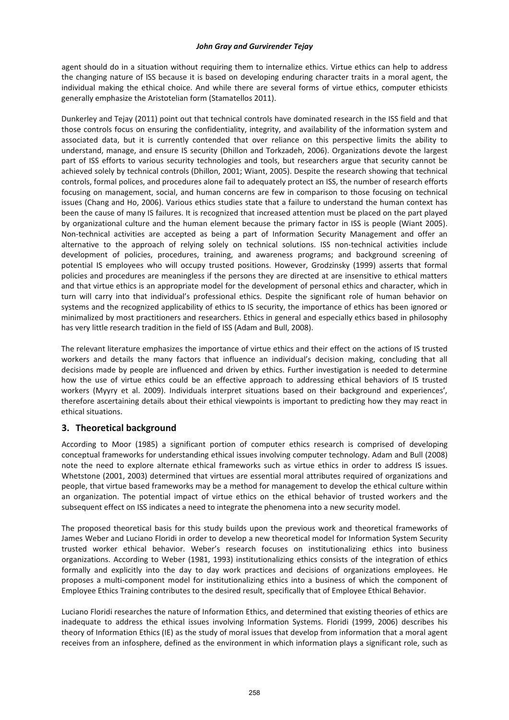agent should do in a situation without requiring them to internalize ethics. Virtue ethics can help to address the changing nature of ISS because it is based on developing enduring character traits in a moral agent, the individual making the ethical choice. And while there are several forms of virtue ethics, computer ethicists generally emphasize the Aristotelian form (Stamatellos 2011).

Dunkerley and Tejay (2011) point out that technical controls have dominated research in the ISS field and that those controls focus on ensuring the confidentiality, integrity, and availability of the information system and associated data, but it is currently contended that over reliance on this perspective limits the ability to understand, manage, and ensure IS security (Dhillon and Torkzadeh, 2006). Organizations devote the largest part of ISS efforts to various security technologies and tools, but researchers argue that security cannot be achieved solely by technical controls (Dhillon, 2001; Wiant, 2005). Despite the research showing that technical controls, formal polices, and procedures alone fail to adequately protect an ISS, the number of research efforts focusing on management, social, and human concerns are few in comparison to those focusing on technical issues (Chang and Ho, 2006). Various ethics studies state that a failure to understand the human context has been the cause of many IS failures. It is recognized that increased attention must be placed on the part played by organizational culture and the human element because the primary factor in ISS is people (Wiant 2005). Non‐technical activities are accepted as being a part of Information Security Management and offer an alternative to the approach of relying solely on technical solutions. ISS non-technical activities include development of policies, procedures, training, and awareness programs; and background screening of potential IS employees who will occupy trusted positions. However, Grodzinsky (1999) asserts that formal policies and procedures are meaningless if the persons they are directed at are insensitive to ethical matters and that virtue ethics is an appropriate model for the development of personal ethics and character, which in turn will carry into that individual's professional ethics. Despite the significant role of human behavior on systems and the recognized applicability of ethics to IS security, the importance of ethics has been ignored or minimalized by most practitioners and researchers. Ethics in general and especially ethics based in philosophy has very little research tradition in the field of ISS (Adam and Bull, 2008).

The relevant literature emphasizes the importance of virtue ethics and their effect on the actions of IS trusted workers and details the many factors that influence an individual's decision making, concluding that all decisions made by people are influenced and driven by ethics. Further investigation is needed to determine how the use of virtue ethics could be an effective approach to addressing ethical behaviors of IS trusted workers (Myyry et al. 2009). Individuals interpret situations based on their background and experiences', therefore ascertaining details about their ethical viewpoints is important to predicting how they may react in ethical situations.

# **3. Theoretical background**

According to Moor (1985) a significant portion of computer ethics research is comprised of developing conceptual frameworks for understanding ethical issues involving computer technology. Adam and Bull (2008) note the need to explore alternate ethical frameworks such as virtue ethics in order to address IS issues. Whetstone (2001, 2003) determined that virtues are essential moral attributes required of organizations and people, that virtue based frameworks may be a method for management to develop the ethical culture within an organization. The potential impact of virtue ethics on the ethical behavior of trusted workers and the subsequent effect on ISS indicates a need to integrate the phenomena into a new security model.

The proposed theoretical basis for this study builds upon the previous work and theoretical frameworks of James Weber and Luciano Floridi in order to develop a new theoretical model for Information System Security trusted worker ethical behavior. Weber's research focuses on institutionalizing ethics into business organizations. According to Weber (1981, 1993) institutionalizing ethics consists of the integration of ethics formally and explicitly into the day to day work practices and decisions of organizations employees. He proposes a multi‐component model for institutionalizing ethics into a business of which the component of Employee Ethics Training contributes to the desired result, specifically that of Employee Ethical Behavior.

Luciano Floridi researches the nature of Information Ethics, and determined that existing theories of ethics are inadequate to address the ethical issues involving Information Systems. Floridi (1999, 2006) describes his theory of Information Ethics (IE) as the study of moral issues that develop from information that a moral agent receives from an infosphere, defined as the environment in which information plays a significant role, such as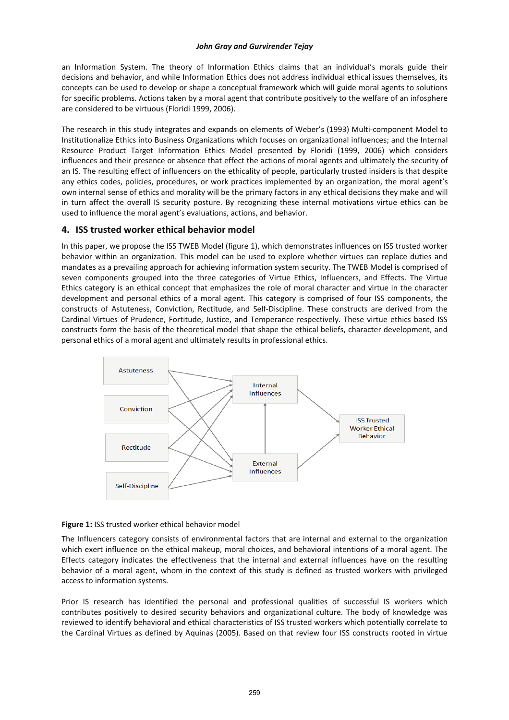an Information System. The theory of Information Ethics claims that an individual's morals guide their decisions and behavior, and while Information Ethics does not address individual ethical issues themselves, its concepts can be used to develop or shape a conceptual framework which will guide moral agents to solutions for specific problems. Actions taken by a moral agent that contribute positively to the welfare of an infosphere are considered to be virtuous (Floridi 1999, 2006).

The research in this study integrates and expands on elements of Weber's (1993) Multi‐component Model to Institutionalize Ethics into Business Organizations which focuses on organizational influences; and the Internal Resource Product Target Information Ethics Model presented by Floridi (1999, 2006) which considers influences and their presence or absence that effect the actions of moral agents and ultimately the security of an IS. The resulting effect of influencers on the ethicality of people, particularly trusted insiders is that despite any ethics codes, policies, procedures, or work practices implemented by an organization, the moral agent's own internal sense of ethics and morality will be the primary factors in any ethical decisions they make and will in turn affect the overall IS security posture. By recognizing these internal motivations virtue ethics can be used to influence the moral agent's evaluations, actions, and behavior.

# **4. ISS trusted worker ethical behavior model**

In this paper, we propose the ISS TWEB Model (figure 1), which demonstrates influences on ISS trusted worker behavior within an organization. This model can be used to explore whether virtues can replace duties and mandates as a prevailing approach for achieving information system security. The TWEB Model is comprised of seven components grouped into the three categories of Virtue Ethics, Influencers, and Effects. The Virtue Ethics category is an ethical concept that emphasizes the role of moral character and virtue in the character development and personal ethics of a moral agent. This category is comprised of four ISS components, the constructs of Astuteness, Conviction, Rectitude, and Self‐Discipline. These constructs are derived from the Cardinal Virtues of Prudence, Fortitude, Justice, and Temperance respectively. These virtue ethics based ISS constructs form the basis of the theoretical model that shape the ethical beliefs, character development, and personal ethics of a moral agent and ultimately results in professional ethics.



## **Figure 1:** ISS trusted worker ethical behavior model

The Influencers category consists of environmental factors that are internal and external to the organization which exert influence on the ethical makeup, moral choices, and behavioral intentions of a moral agent. The Effects category indicates the effectiveness that the internal and external influences have on the resulting behavior of a moral agent, whom in the context of this study is defined as trusted workers with privileged access to information systems.

Prior IS research has identified the personal and professional qualities of successful IS workers which contributes positively to desired security behaviors and organizational culture. The body of knowledge was reviewed to identify behavioral and ethical characteristics of ISS trusted workers which potentially correlate to the Cardinal Virtues as defined by Aquinas (2005). Based on that review four ISS constructs rooted in virtue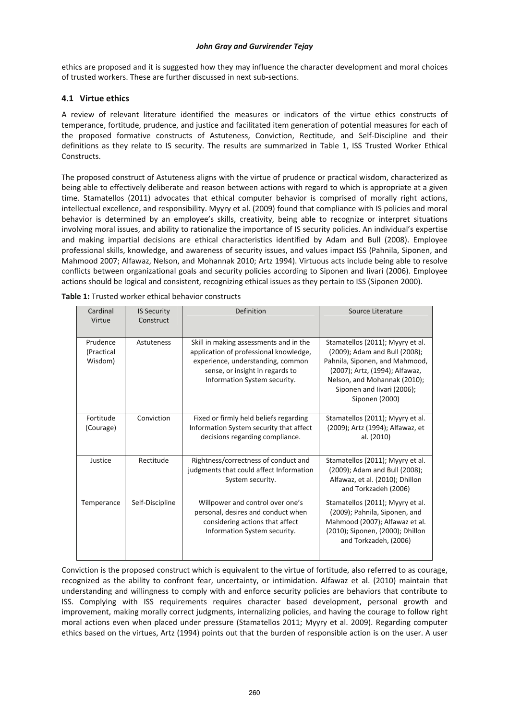ethics are proposed and it is suggested how they may influence the character development and moral choices of trusted workers. These are further discussed in next sub‐sections.

# **4.1 Virtue ethics**

A review of relevant literature identified the measures or indicators of the virtue ethics constructs of temperance, fortitude, prudence, and justice and facilitated item generation of potential measures for each of the proposed formative constructs of Astuteness, Conviction, Rectitude, and Self‐Discipline and their definitions as they relate to IS security. The results are summarized in Table 1, ISS Trusted Worker Ethical Constructs.

The proposed construct of Astuteness aligns with the virtue of prudence or practical wisdom, characterized as being able to effectively deliberate and reason between actions with regard to which is appropriate at a given time. Stamatellos (2011) advocates that ethical computer behavior is comprised of morally right actions, intellectual excellence, and responsibility. Myyry et al. (2009) found that compliance with IS policies and moral behavior is determined by an employee's skills, creativity, being able to recognize or interpret situations involving moral issues, and ability to rationalize the importance of IS security policies. An individual's expertise and making impartial decisions are ethical characteristics identified by Adam and Bull (2008). Employee professional skills, knowledge, and awareness of security issues, and values impact ISS (Pahnila, Siponen, and Mahmood 2007; Alfawaz, Nelson, and Mohannak 2010; Artz 1994). Virtuous acts include being able to resolve conflicts between organizational goals and security policies according to Siponen and Iivari (2006). Employee actions should be logical and consistent, recognizing ethical issues as they pertain to ISS (Siponen 2000).

| Cardinal<br>Virtue                | <b>IS Security</b><br>Construct | Definition                                                                                                                                                                               | Source Literature                                                                                                                                                                                                     |
|-----------------------------------|---------------------------------|------------------------------------------------------------------------------------------------------------------------------------------------------------------------------------------|-----------------------------------------------------------------------------------------------------------------------------------------------------------------------------------------------------------------------|
| Prudence<br>(Practical<br>Wisdom) | Astuteness                      | Skill in making assessments and in the<br>application of professional knowledge,<br>experience, understanding, common<br>sense, or insight in regards to<br>Information System security. | Stamatellos (2011); Myyry et al.<br>(2009); Adam and Bull (2008);<br>Pahnila, Siponen, and Mahmood,<br>(2007); Artz, (1994); Alfawaz,<br>Nelson, and Mohannak (2010);<br>Siponen and Iivari (2006);<br>Siponen (2000) |
| Fortitude<br>(Courage)            | Conviction                      | Fixed or firmly held beliefs regarding<br>Information System security that affect<br>decisions regarding compliance.                                                                     | Stamatellos (2011); Myyry et al.<br>(2009); Artz (1994); Alfawaz, et<br>al. (2010)                                                                                                                                    |
| Justice                           | Rectitude                       | Rightness/correctness of conduct and<br>judgments that could affect Information<br>System security.                                                                                      | Stamatellos (2011); Myyry et al.<br>(2009); Adam and Bull (2008);<br>Alfawaz, et al. (2010); Dhillon<br>and Torkzadeh (2006)                                                                                          |
| Temperance                        | Self-Discipline                 | Willpower and control over one's<br>personal, desires and conduct when<br>considering actions that affect<br>Information System security.                                                | Stamatellos (2011); Myyry et al.<br>(2009); Pahnila, Siponen, and<br>Mahmood (2007); Alfawaz et al.<br>(2010); Siponen, (2000); Dhillon<br>and Torkzadeh, (2006)                                                      |

| <b>Table 1:</b> Trusted worker ethical behavior constructs |  |  |
|------------------------------------------------------------|--|--|
|------------------------------------------------------------|--|--|

Conviction is the proposed construct which is equivalent to the virtue of fortitude, also referred to as courage, recognized as the ability to confront fear, uncertainty, or intimidation. Alfawaz et al. (2010) maintain that understanding and willingness to comply with and enforce security policies are behaviors that contribute to ISS. Complying with ISS requirements requires character based development, personal growth and improvement, making morally correct judgments, internalizing policies, and having the courage to follow right moral actions even when placed under pressure (Stamatellos 2011; Myyry et al. 2009). Regarding computer ethics based on the virtues, Artz (1994) points out that the burden of responsible action is on the user. A user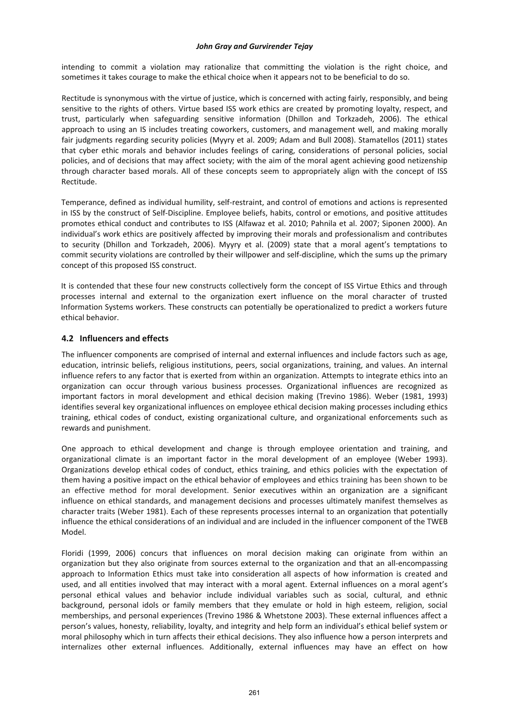intending to commit a violation may rationalize that committing the violation is the right choice, and sometimes it takes courage to make the ethical choice when it appears not to be beneficial to do so.

Rectitude is synonymous with the virtue of justice, which is concerned with acting fairly, responsibly, and being sensitive to the rights of others. Virtue based ISS work ethics are created by promoting loyalty, respect, and trust, particularly when safeguarding sensitive information (Dhillon and Torkzadeh, 2006). The ethical approach to using an IS includes treating coworkers, customers, and management well, and making morally fair judgments regarding security policies (Myyry et al. 2009; Adam and Bull 2008). Stamatellos (2011) states that cyber ethic morals and behavior includes feelings of caring, considerations of personal policies, social policies, and of decisions that may affect society; with the aim of the moral agent achieving good netizenship through character based morals. All of these concepts seem to appropriately align with the concept of ISS Rectitude.

Temperance, defined as individual humility, self-restraint, and control of emotions and actions is represented in ISS by the construct of Self‐Discipline. Employee beliefs, habits, control or emotions, and positive attitudes promotes ethical conduct and contributes to ISS (Alfawaz et al. 2010; Pahnila et al. 2007; Siponen 2000). An individual's work ethics are positively affected by improving their morals and professionalism and contributes to security (Dhillon and Torkzadeh, 2006). Myyry et al. (2009) state that a moral agent's temptations to commit security violations are controlled by their willpower and self-discipline, which the sums up the primary concept of this proposed ISS construct.

It is contended that these four new constructs collectively form the concept of ISS Virtue Ethics and through processes internal and external to the organization exert influence on the moral character of trusted Information Systems workers. These constructs can potentially be operationalized to predict a workers future ethical behavior.

## **4.2 Influencers and effects**

The influencer components are comprised of internal and external influences and include factors such as age, education, intrinsic beliefs, religious institutions, peers, social organizations, training, and values. An internal influence refers to any factor that is exerted from within an organization. Attempts to integrate ethics into an organization can occur through various business processes. Organizational influences are recognized as important factors in moral development and ethical decision making (Trevino 1986). Weber (1981, 1993) identifies several key organizational influences on employee ethical decision making processes including ethics training, ethical codes of conduct, existing organizational culture, and organizational enforcements such as rewards and punishment.

One approach to ethical development and change is through employee orientation and training, and organizational climate is an important factor in the moral development of an employee (Weber 1993). Organizations develop ethical codes of conduct, ethics training, and ethics policies with the expectation of them having a positive impact on the ethical behavior of employees and ethics training has been shown to be an effective method for moral development. Senior executives within an organization are a significant influence on ethical standards, and management decisions and processes ultimately manifest themselves as character traits (Weber 1981). Each of these represents processes internal to an organization that potentially influence the ethical considerations of an individual and are included in the influencer component of the TWEB Model.

Floridi (1999, 2006) concurs that influences on moral decision making can originate from within an organization but they also originate from sources external to the organization and that an all‐encompassing approach to Information Ethics must take into consideration all aspects of how information is created and used, and all entities involved that may interact with a moral agent. External influences on a moral agent's personal ethical values and behavior include individual variables such as social, cultural, and ethnic background, personal idols or family members that they emulate or hold in high esteem, religion, social memberships, and personal experiences (Trevino 1986 & Whetstone 2003). These external influences affect a person's values, honesty, reliability, loyalty, and integrity and help form an individual's ethical belief system or moral philosophy which in turn affects their ethical decisions. They also influence how a person interprets and internalizes other external influences. Additionally, external influences may have an effect on how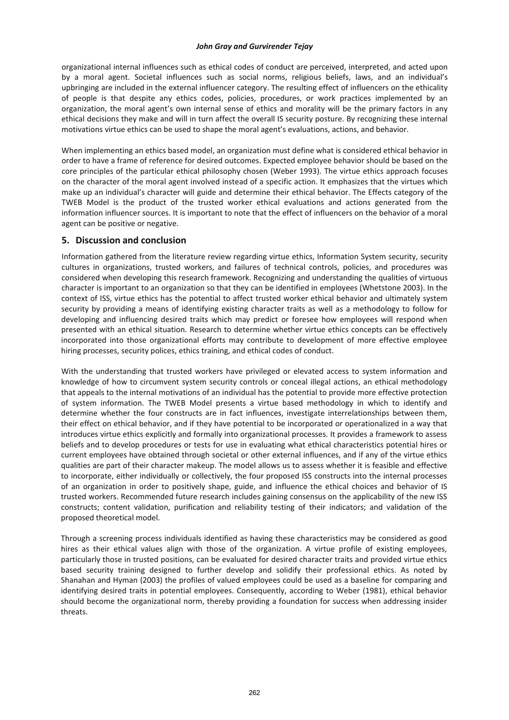organizational internal influences such as ethical codes of conduct are perceived, interpreted, and acted upon by a moral agent. Societal influences such as social norms, religious beliefs, laws, and an individual's upbringing are included in the external influencer category. The resulting effect of influencers on the ethicality of people is that despite any ethics codes, policies, procedures, or work practices implemented by an organization, the moral agent's own internal sense of ethics and morality will be the primary factors in any ethical decisions they make and will in turn affect the overall IS security posture. By recognizing these internal motivations virtue ethics can be used to shape the moral agent's evaluations, actions, and behavior.

When implementing an ethics based model, an organization must define what is considered ethical behavior in order to have a frame of reference for desired outcomes. Expected employee behavior should be based on the core principles of the particular ethical philosophy chosen (Weber 1993). The virtue ethics approach focuses on the character of the moral agent involved instead of a specific action. It emphasizes that the virtues which make up an individual's character will guide and determine their ethical behavior. The Effects category of the TWEB Model is the product of the trusted worker ethical evaluations and actions generated from the information influencer sources. It is important to note that the effect of influencers on the behavior of a moral agent can be positive or negative.

# **5. Discussion and conclusion**

Information gathered from the literature review regarding virtue ethics, Information System security, security cultures in organizations, trusted workers, and failures of technical controls, policies, and procedures was considered when developing this research framework. Recognizing and understanding the qualities of virtuous character is important to an organization so that they can be identified in employees (Whetstone 2003). In the context of ISS, virtue ethics has the potential to affect trusted worker ethical behavior and ultimately system security by providing a means of identifying existing character traits as well as a methodology to follow for developing and influencing desired traits which may predict or foresee how employees will respond when presented with an ethical situation. Research to determine whether virtue ethics concepts can be effectively incorporated into those organizational efforts may contribute to development of more effective employee hiring processes, security polices, ethics training, and ethical codes of conduct.

With the understanding that trusted workers have privileged or elevated access to system information and knowledge of how to circumvent system security controls or conceal illegal actions, an ethical methodology that appeals to the internal motivations of an individual has the potential to provide more effective protection of system information. The TWEB Model presents a virtue based methodology in which to identify and determine whether the four constructs are in fact influences, investigate interrelationships between them, their effect on ethical behavior, and if they have potential to be incorporated or operationalized in a way that introduces virtue ethics explicitly and formally into organizational processes. It provides a framework to assess beliefs and to develop procedures or tests for use in evaluating what ethical characteristics potential hires or current employees have obtained through societal or other external influences, and if any of the virtue ethics qualities are part of their character makeup. The model allows us to assess whether it is feasible and effective to incorporate, either individually or collectively, the four proposed ISS constructs into the internal processes of an organization in order to positively shape, guide, and influence the ethical choices and behavior of IS trusted workers. Recommended future research includes gaining consensus on the applicability of the new ISS constructs; content validation, purification and reliability testing of their indicators; and validation of the proposed theoretical model.

Through a screening process individuals identified as having these characteristics may be considered as good hires as their ethical values align with those of the organization. A virtue profile of existing employees, particularly those in trusted positions, can be evaluated for desired character traits and provided virtue ethics based security training designed to further develop and solidify their professional ethics. As noted by Shanahan and Hyman (2003) the profiles of valued employees could be used as a baseline for comparing and identifying desired traits in potential employees. Consequently, according to Weber (1981), ethical behavior should become the organizational norm, thereby providing a foundation for success when addressing insider threats.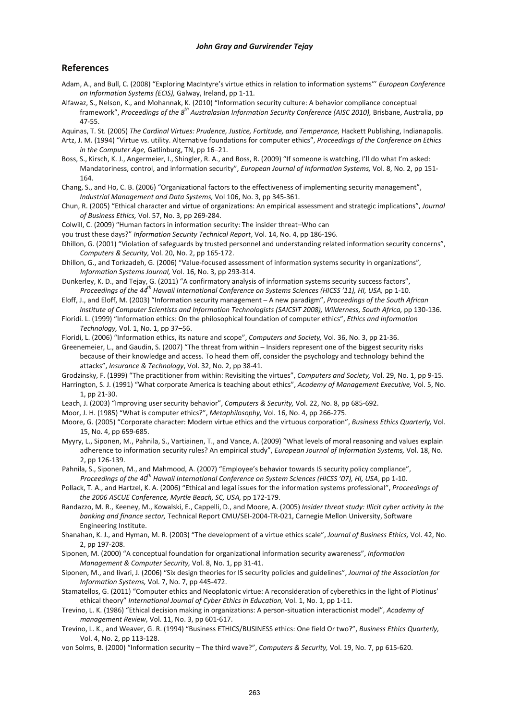# **References**

- Adam, A., and Bull, C. (2008) "Exploring MacIntyre's virtue ethics in relation to information systems"' *European Conference on Information Systems (ECIS),* Galway, Ireland, pp 1‐11.
- Alfawaz, S., Nelson, K., and Mohannak, K. (2010) "Information security culture: A behavior compliance conceptual framework", *Proceedings of the 8 th Australasian Information Security Conference (AISC 2010),* Brisbane, Australia, pp 47‐55.

Aquinas, T. St. (2005) *The Cardinal Virtues: Prudence, Justice, Fortitude, and Temperance,* Hackett Publishing, Indianapolis.

- Artz, J. M. (1994) "Virtue vs. utility. Alternative foundations for computer ethics", *Proceedings of the Conference on Ethics in the Computer Age,* Gatlinburg, TN, pp 16–21.
- Boss, S., Kirsch, K. J., Angermeier, I., Shingler, R. A., and Boss, R. (2009) "If someone is watching, I'll do what I'm asked: Mandatoriness, control, and information security", *European Journal of Information Systems,* Vol. 8, No. 2, pp 151‐ 164.
- Chang, S., and Ho, C. B. (2006) "Organizational factors to the effectiveness of implementing security management", *Industrial Management and Data Systems,* Vol 106, No. 3, pp 345‐361.
- Chun, R. (2005) "Ethical character and virtue of organizations: An empirical assessment and strategic implications", *Journal of Business Ethics,* Vol. 57, No. 3, pp 269‐284.
- Colwill, C. (2009) "Human factors in information security: The insider threat–Who can
- you trust these days?" *Information Security Technical Report*, Vol. 14, No. 4, pp 186‐196.
- Dhillon, G. (2001) "Violation of safeguards by trusted personnel and understanding related information security concerns", *Computers & Security,* Vol. 20, No. 2, pp 165‐172.
- Dhillon, G., and Torkzadeh, G. (2006) "Value‐focused assessment of information systems security in organizations", *Information Systems Journal,* Vol. 16, No. 3, pp 293‐314.
- Dunkerley, K. D., and Tejay, G. (2011) "A confirmatory analysis of information systems security success factors", *Proceedings of the 44th Hawaii International Conference on Systems Sciences (HICSS '11), HI, USA,* pp 1‐10.
- Eloff, J., and Eloff, M. (2003) "Information security management A new paradigm", *Proceedings of the South African Institute of Computer Scientists and Information Technologists (SAICSIT 2008), Wilderness, South Africa,* pp 130‐136.
- Floridi. L. (1999) "Information ethics: On the philosophical foundation of computer ethics", *Ethics and Information Technology,* Vol. 1, No. 1, pp 37–56.
- Floridi, L. (2006) "Information ethics, its nature and scope", *Computers and Society,* Vol. 36, No. 3, pp 21‐36.

Greenemeier, L., and Gaudin, S. (2007) "The threat from within – Insiders represent one of the biggest security risks because of their knowledge and access. To head them off, consider the psychology and technology behind the attacks", *Insurance & Technology*, Vol. 32, No. 2, pp 38‐41.

- Grodzinsky, F. (1999) "The practitioner from within: Revisiting the virtues", *Computers and Society,* Vol. 29, No. 1, pp 9‐15.
- Harrington, S. J. (1991) "What corporate America is teaching about ethics", *Academy of Management Executive,* Vol. 5, No. 1, pp 21‐30.
- Leach, J. (2003) "Improving user security behavior", *Computers & Security,* Vol. 22, No. 8, pp 685‐692.
- Moor, J. H. (1985) "What is computer ethics?", *Metaphilosophy,* Vol. 16, No. 4, pp 266‐275.
- Moore, G. (2005) "Corporate character: Modern virtue ethics and the virtuous corporation", *Business Ethics Quarterly,* Vol. 15, No. 4, pp 659‐685.
- Myyry, L., Siponen, M., Pahnila, S., Vartiainen, T., and Vance, A. (2009) "What levels of moral reasoning and values explain adherence to information security rules? An empirical study", *European Journal of Information Systems,* Vol. 18, No. 2, pp 126‐139.
- Pahnila, S., Siponen, M., and Mahmood, A. (2007) "Employee's behavior towards IS security policy compliance", *Proceedings of the 40th Hawaii International Conference on System Sciences (HICSS '07), HI, USA*, pp 1‐10.
- Pollack, T. A., and Hartzel, K. A. (2006) "Ethical and legal issues for the information systems professional", *Proceedings of the 2006 ASCUE Conference, Myrtle Beach, SC, USA,* pp 172‐179.
- Randazzo, M. R., Keeney, M., Kowalski, E., Cappelli, D., and Moore, A. (2005) *Insider threat study: Illicit cyber activity in the banking and finance sector,* Technical Report CMU/SEI‐2004‐TR‐021, Carnegie Mellon University, Software Engineering Institute.
- Shanahan, K. J., and Hyman, M. R. (2003) "The development of a virtue ethics scale", *Journal of Business Ethics,* Vol. 42, No. 2, pp 197‐208.
- Siponen, M. (2000) "A conceptual foundation for organizational information security awareness", *Information Management & Computer Security,* Vol. 8, No. 1, pp 31‐41.
- Siponen, M., and Iivari, J. (2006) "Six design theories for IS security policies and guidelines", *Journal of the Association for Information Systems,* Vol. 7, No. 7, pp 445‐472.
- Stamatellos, G. (2011) "Computer ethics and Neoplatonic virtue: A reconsideration of cyberethics in the light of Plotinus' ethical theory" *International Journal of Cyber Ethics in Education,* Vol. 1, No. 1, pp 1‐11.
- Trevino, L. K. (1986) "Ethical decision making in organizations: A person‐situation interactionist model", *Academy of management Review*, Vol. 11, No. 3, pp 601‐617.
- Trevino, L. K., and Weaver, G. R. (1994) "Business ETHICS/BUSINESS ethics: One field Or two?", *Business Ethics Quarterly,* Vol. 4, No. 2, pp 113‐128.
- von Solms, B. (2000) "Information security The third wave?", *Computers & Security,* Vol. 19, No. 7, pp 615‐620.